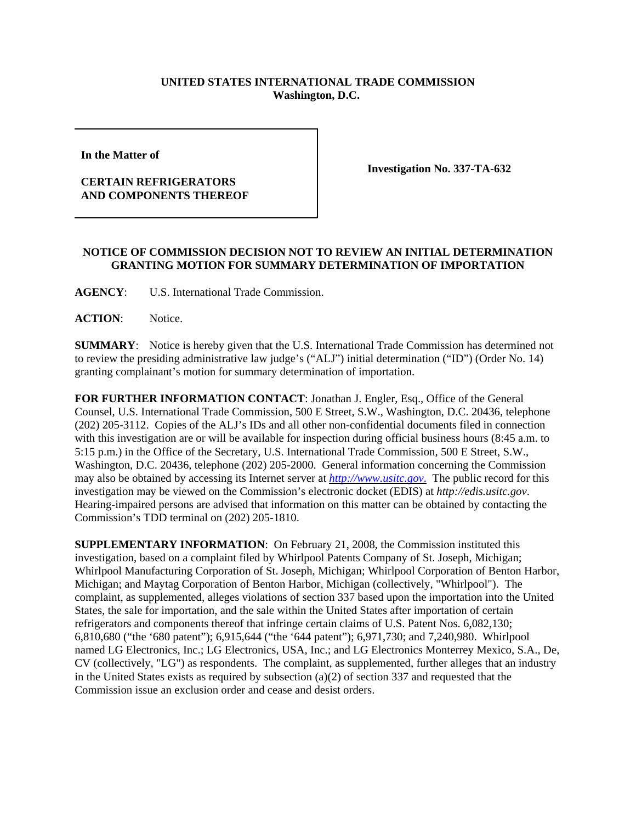## **UNITED STATES INTERNATIONAL TRADE COMMISSION Washington, D.C.**

**In the Matter of** 

## **CERTAIN REFRIGERATORS AND COMPONENTS THEREOF**

**Investigation No. 337-TA-632**

## **NOTICE OF COMMISSION DECISION NOT TO REVIEW AN INITIAL DETERMINATION GRANTING MOTION FOR SUMMARY DETERMINATION OF IMPORTATION**

**AGENCY**: U.S. International Trade Commission.

**ACTION**: Notice.

**SUMMARY**: Notice is hereby given that the U.S. International Trade Commission has determined not to review the presiding administrative law judge's ("ALJ") initial determination ("ID") (Order No. 14) granting complainant's motion for summary determination of importation.

**FOR FURTHER INFORMATION CONTACT**: Jonathan J. Engler, Esq., Office of the General Counsel, U.S. International Trade Commission, 500 E Street, S.W., Washington, D.C. 20436, telephone (202) 205-3112. Copies of the ALJ's IDs and all other non-confidential documents filed in connection with this investigation are or will be available for inspection during official business hours (8:45 a.m. to 5:15 p.m.) in the Office of the Secretary, U.S. International Trade Commission, 500 E Street, S.W., Washington, D.C. 20436, telephone (202) 205-2000. General information concerning the Commission may also be obtained by accessing its Internet server at *http://www.usitc.gov*. The public record for this investigation may be viewed on the Commission's electronic docket (EDIS) at *http://edis.usitc.gov*. Hearing-impaired persons are advised that information on this matter can be obtained by contacting the Commission's TDD terminal on (202) 205-1810.

**SUPPLEMENTARY INFORMATION**: On February 21, 2008, the Commission instituted this investigation, based on a complaint filed by Whirlpool Patents Company of St. Joseph, Michigan; Whirlpool Manufacturing Corporation of St. Joseph, Michigan; Whirlpool Corporation of Benton Harbor, Michigan; and Maytag Corporation of Benton Harbor, Michigan (collectively, "Whirlpool"). The complaint, as supplemented, alleges violations of section 337 based upon the importation into the United States, the sale for importation, and the sale within the United States after importation of certain refrigerators and components thereof that infringe certain claims of U.S. Patent Nos. 6,082,130; 6,810,680 ("the '680 patent"); 6,915,644 ("the '644 patent"); 6,971,730; and 7,240,980. Whirlpool named LG Electronics, Inc.; LG Electronics, USA, Inc.; and LG Electronics Monterrey Mexico, S.A., De, CV (collectively, "LG") as respondents. The complaint, as supplemented, further alleges that an industry in the United States exists as required by subsection (a)(2) of section 337 and requested that the Commission issue an exclusion order and cease and desist orders.